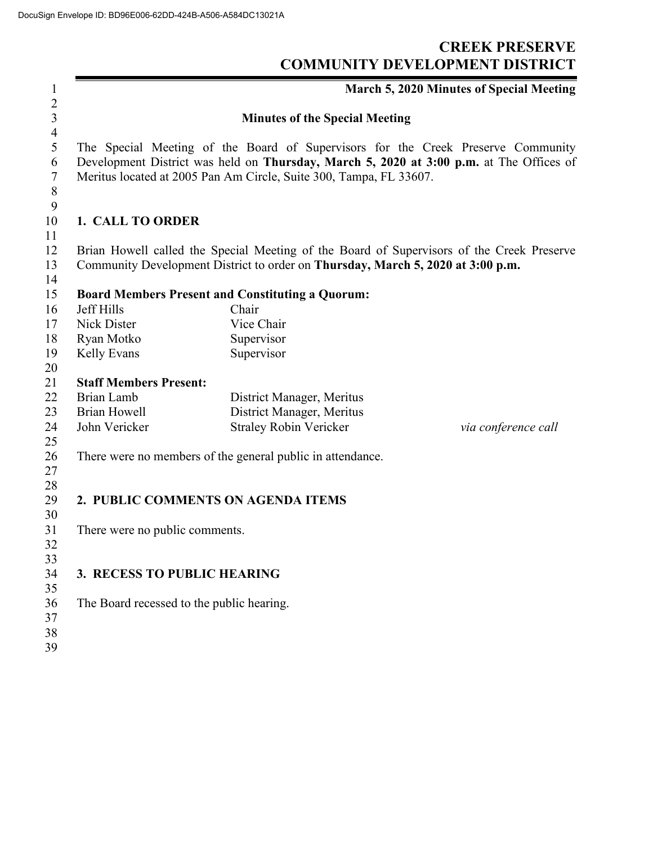## **CREEK PRESERVE COMMUNITY DEVELOPMENT DISTRICT**

|                                                                                                                                                                             |                                                                                                       | March 5, 2020 Minutes of Special Meeting                                                                                                                                                                                                                                                                                                                                                                                                                                                                                                                                                                        |  |  |
|-----------------------------------------------------------------------------------------------------------------------------------------------------------------------------|-------------------------------------------------------------------------------------------------------|-----------------------------------------------------------------------------------------------------------------------------------------------------------------------------------------------------------------------------------------------------------------------------------------------------------------------------------------------------------------------------------------------------------------------------------------------------------------------------------------------------------------------------------------------------------------------------------------------------------------|--|--|
|                                                                                                                                                                             |                                                                                                       |                                                                                                                                                                                                                                                                                                                                                                                                                                                                                                                                                                                                                 |  |  |
| The Special Meeting of the Board of Supervisors for the Creek Preserve Community<br>Development District was held on Thursday, March 5, 2020 at 3:00 p.m. at The Offices of |                                                                                                       |                                                                                                                                                                                                                                                                                                                                                                                                                                                                                                                                                                                                                 |  |  |
|                                                                                                                                                                             |                                                                                                       |                                                                                                                                                                                                                                                                                                                                                                                                                                                                                                                                                                                                                 |  |  |
|                                                                                                                                                                             |                                                                                                       |                                                                                                                                                                                                                                                                                                                                                                                                                                                                                                                                                                                                                 |  |  |
|                                                                                                                                                                             |                                                                                                       |                                                                                                                                                                                                                                                                                                                                                                                                                                                                                                                                                                                                                 |  |  |
|                                                                                                                                                                             |                                                                                                       |                                                                                                                                                                                                                                                                                                                                                                                                                                                                                                                                                                                                                 |  |  |
| Brian Howell called the Special Meeting of the Board of Supervisors of the Creek Preserve                                                                                   |                                                                                                       |                                                                                                                                                                                                                                                                                                                                                                                                                                                                                                                                                                                                                 |  |  |
|                                                                                                                                                                             |                                                                                                       |                                                                                                                                                                                                                                                                                                                                                                                                                                                                                                                                                                                                                 |  |  |
|                                                                                                                                                                             |                                                                                                       |                                                                                                                                                                                                                                                                                                                                                                                                                                                                                                                                                                                                                 |  |  |
|                                                                                                                                                                             |                                                                                                       |                                                                                                                                                                                                                                                                                                                                                                                                                                                                                                                                                                                                                 |  |  |
|                                                                                                                                                                             |                                                                                                       |                                                                                                                                                                                                                                                                                                                                                                                                                                                                                                                                                                                                                 |  |  |
|                                                                                                                                                                             |                                                                                                       |                                                                                                                                                                                                                                                                                                                                                                                                                                                                                                                                                                                                                 |  |  |
|                                                                                                                                                                             |                                                                                                       |                                                                                                                                                                                                                                                                                                                                                                                                                                                                                                                                                                                                                 |  |  |
|                                                                                                                                                                             |                                                                                                       |                                                                                                                                                                                                                                                                                                                                                                                                                                                                                                                                                                                                                 |  |  |
|                                                                                                                                                                             |                                                                                                       |                                                                                                                                                                                                                                                                                                                                                                                                                                                                                                                                                                                                                 |  |  |
| Brian Lamb                                                                                                                                                                  | District Manager, Meritus                                                                             |                                                                                                                                                                                                                                                                                                                                                                                                                                                                                                                                                                                                                 |  |  |
|                                                                                                                                                                             |                                                                                                       |                                                                                                                                                                                                                                                                                                                                                                                                                                                                                                                                                                                                                 |  |  |
|                                                                                                                                                                             |                                                                                                       | via conference call                                                                                                                                                                                                                                                                                                                                                                                                                                                                                                                                                                                             |  |  |
|                                                                                                                                                                             |                                                                                                       |                                                                                                                                                                                                                                                                                                                                                                                                                                                                                                                                                                                                                 |  |  |
|                                                                                                                                                                             |                                                                                                       |                                                                                                                                                                                                                                                                                                                                                                                                                                                                                                                                                                                                                 |  |  |
|                                                                                                                                                                             |                                                                                                       |                                                                                                                                                                                                                                                                                                                                                                                                                                                                                                                                                                                                                 |  |  |
|                                                                                                                                                                             |                                                                                                       |                                                                                                                                                                                                                                                                                                                                                                                                                                                                                                                                                                                                                 |  |  |
|                                                                                                                                                                             |                                                                                                       |                                                                                                                                                                                                                                                                                                                                                                                                                                                                                                                                                                                                                 |  |  |
| There were no public comments.                                                                                                                                              |                                                                                                       |                                                                                                                                                                                                                                                                                                                                                                                                                                                                                                                                                                                                                 |  |  |
|                                                                                                                                                                             |                                                                                                       |                                                                                                                                                                                                                                                                                                                                                                                                                                                                                                                                                                                                                 |  |  |
|                                                                                                                                                                             |                                                                                                       |                                                                                                                                                                                                                                                                                                                                                                                                                                                                                                                                                                                                                 |  |  |
|                                                                                                                                                                             |                                                                                                       |                                                                                                                                                                                                                                                                                                                                                                                                                                                                                                                                                                                                                 |  |  |
|                                                                                                                                                                             |                                                                                                       |                                                                                                                                                                                                                                                                                                                                                                                                                                                                                                                                                                                                                 |  |  |
|                                                                                                                                                                             |                                                                                                       |                                                                                                                                                                                                                                                                                                                                                                                                                                                                                                                                                                                                                 |  |  |
|                                                                                                                                                                             |                                                                                                       |                                                                                                                                                                                                                                                                                                                                                                                                                                                                                                                                                                                                                 |  |  |
|                                                                                                                                                                             |                                                                                                       |                                                                                                                                                                                                                                                                                                                                                                                                                                                                                                                                                                                                                 |  |  |
|                                                                                                                                                                             | <b>Jeff Hills</b><br>Nick Dister<br>Ryan Motko<br>Kelly Evans<br><b>Brian Howell</b><br>John Vericker | <b>Minutes of the Special Meeting</b><br>Meritus located at 2005 Pan Am Circle, Suite 300, Tampa, FL 33607.<br>1. CALL TO ORDER<br>Community Development District to order on Thursday, March 5, 2020 at 3:00 p.m.<br><b>Board Members Present and Constituting a Quorum:</b><br>Chair<br>Vice Chair<br>Supervisor<br>Supervisor<br><b>Staff Members Present:</b><br>District Manager, Meritus<br><b>Straley Robin Vericker</b><br>There were no members of the general public in attendance.<br>2. PUBLIC COMMENTS ON AGENDA ITEMS<br>3. RECESS TO PUBLIC HEARING<br>The Board recessed to the public hearing. |  |  |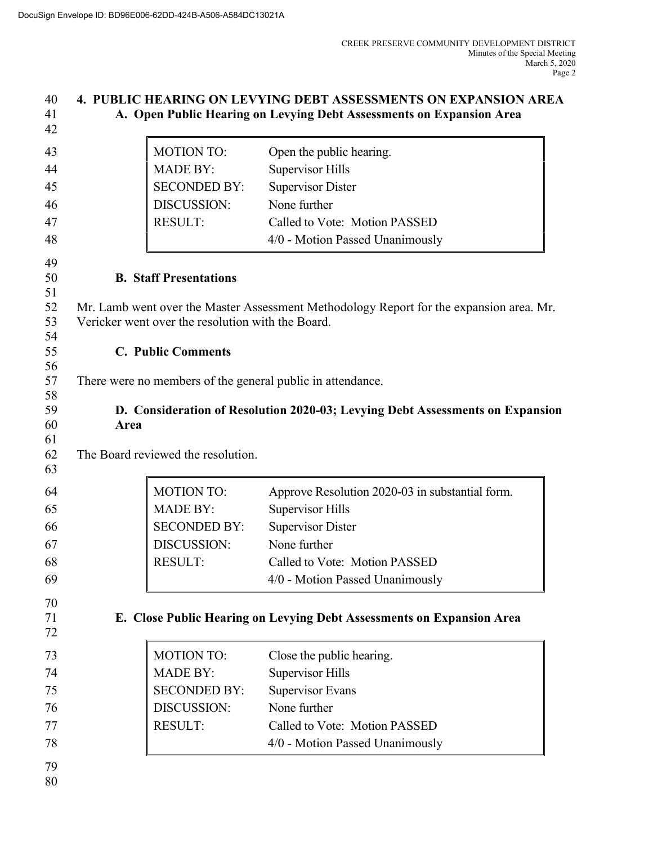## **4. PUBLIC HEARING ON LEVYING DEBT ASSESSMENTS ON EXPANSION AREA A. Open Public Hearing on Levying Debt Assessments on Expansion Area**

| 42       |                                                                                         |                     |                                                                       |  |  |  |
|----------|-----------------------------------------------------------------------------------------|---------------------|-----------------------------------------------------------------------|--|--|--|
| 43       |                                                                                         | <b>MOTION TO:</b>   | Open the public hearing.                                              |  |  |  |
| 44       |                                                                                         | <b>MADE BY:</b>     | <b>Supervisor Hills</b>                                               |  |  |  |
| 45       |                                                                                         | <b>SECONDED BY:</b> | <b>Supervisor Dister</b>                                              |  |  |  |
| 46       |                                                                                         | DISCUSSION:         | None further                                                          |  |  |  |
| 47       |                                                                                         | <b>RESULT:</b>      | Called to Vote: Motion PASSED                                         |  |  |  |
| 48       |                                                                                         |                     | 4/0 - Motion Passed Unanimously                                       |  |  |  |
| 49       |                                                                                         |                     |                                                                       |  |  |  |
| 50       | <b>B.</b> Staff Presentations                                                           |                     |                                                                       |  |  |  |
| 51       |                                                                                         |                     |                                                                       |  |  |  |
| 52       | Mr. Lamb went over the Master Assessment Methodology Report for the expansion area. Mr. |                     |                                                                       |  |  |  |
| 53<br>54 | Vericker went over the resolution with the Board.                                       |                     |                                                                       |  |  |  |
| 55       | <b>C. Public Comments</b>                                                               |                     |                                                                       |  |  |  |
| 56       |                                                                                         |                     |                                                                       |  |  |  |
| 57       | There were no members of the general public in attendance.                              |                     |                                                                       |  |  |  |
| 58       |                                                                                         |                     |                                                                       |  |  |  |
| 59<br>60 | D. Consideration of Resolution 2020-03; Levying Debt Assessments on Expansion<br>Area   |                     |                                                                       |  |  |  |
| 61       |                                                                                         |                     |                                                                       |  |  |  |
| 62       | The Board reviewed the resolution.                                                      |                     |                                                                       |  |  |  |
| 63       |                                                                                         |                     |                                                                       |  |  |  |
| 64       |                                                                                         | <b>MOTION TO:</b>   | Approve Resolution 2020-03 in substantial form.                       |  |  |  |
| 65       |                                                                                         | <b>MADE BY:</b>     | <b>Supervisor Hills</b>                                               |  |  |  |
| 66       |                                                                                         | <b>SECONDED BY:</b> | <b>Supervisor Dister</b>                                              |  |  |  |
| 67       |                                                                                         | DISCUSSION:         | None further                                                          |  |  |  |
| 68       |                                                                                         | <b>RESULT:</b>      | Called to Vote: Motion PASSED                                         |  |  |  |
| 69       |                                                                                         |                     | 4/0 - Motion Passed Unanimously                                       |  |  |  |
| 70       |                                                                                         |                     |                                                                       |  |  |  |
| 71       |                                                                                         |                     | E. Close Public Hearing on Levying Debt Assessments on Expansion Area |  |  |  |
| 72       |                                                                                         |                     |                                                                       |  |  |  |
| 73       |                                                                                         | <b>MOTION TO:</b>   | Close the public hearing.                                             |  |  |  |
| 74       |                                                                                         | <b>MADE BY:</b>     | <b>Supervisor Hills</b>                                               |  |  |  |
| 75       |                                                                                         | <b>SECONDED BY:</b> | <b>Supervisor Evans</b>                                               |  |  |  |
| 76       |                                                                                         | DISCUSSION:         | None further                                                          |  |  |  |
| 77       |                                                                                         | <b>RESULT:</b>      | Called to Vote: Motion PASSED                                         |  |  |  |
| 78       |                                                                                         |                     | 4/0 - Motion Passed Unanimously                                       |  |  |  |
| 79       |                                                                                         |                     |                                                                       |  |  |  |
| 80       |                                                                                         |                     |                                                                       |  |  |  |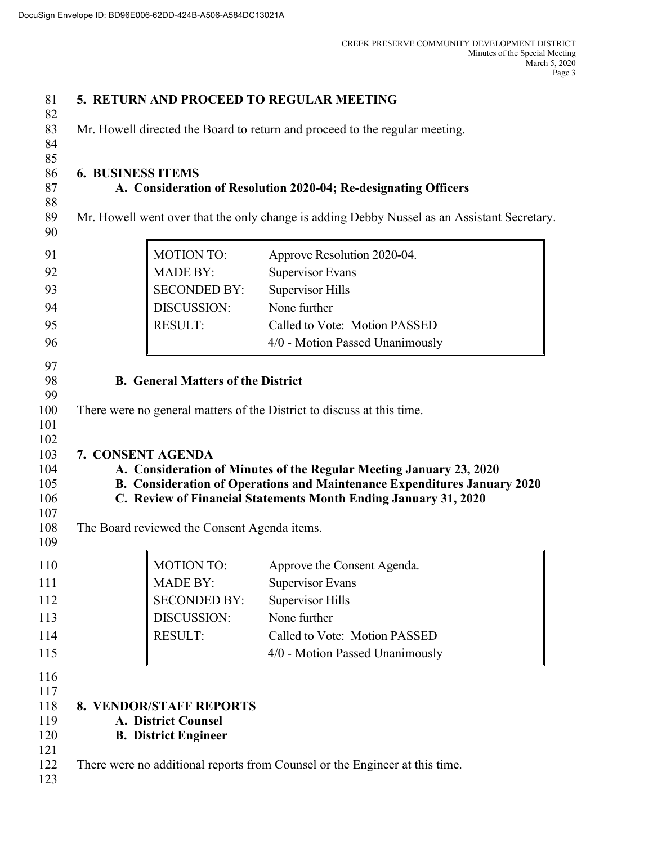| 81         |                                                                             |                                                                                             | 5. RETURN AND PROCEED TO REGULAR MEETING                                                                                                           |  |  |  |  |
|------------|-----------------------------------------------------------------------------|---------------------------------------------------------------------------------------------|----------------------------------------------------------------------------------------------------------------------------------------------------|--|--|--|--|
| 82<br>83   | Mr. Howell directed the Board to return and proceed to the regular meeting. |                                                                                             |                                                                                                                                                    |  |  |  |  |
| 84         |                                                                             |                                                                                             |                                                                                                                                                    |  |  |  |  |
| 85         |                                                                             |                                                                                             |                                                                                                                                                    |  |  |  |  |
| 86<br>87   |                                                                             | <b>6. BUSINESS ITEMS</b><br>A. Consideration of Resolution 2020-04; Re-designating Officers |                                                                                                                                                    |  |  |  |  |
| 88         |                                                                             |                                                                                             |                                                                                                                                                    |  |  |  |  |
| 89<br>90   |                                                                             |                                                                                             | Mr. Howell went over that the only change is adding Debby Nussel as an Assistant Secretary.                                                        |  |  |  |  |
| 91         |                                                                             | <b>MOTION TO:</b>                                                                           | Approve Resolution 2020-04.                                                                                                                        |  |  |  |  |
| 92         |                                                                             | <b>MADE BY:</b>                                                                             | <b>Supervisor Evans</b>                                                                                                                            |  |  |  |  |
| 93         |                                                                             | <b>SECONDED BY:</b>                                                                         | <b>Supervisor Hills</b>                                                                                                                            |  |  |  |  |
| 94         |                                                                             | DISCUSSION:                                                                                 | None further                                                                                                                                       |  |  |  |  |
| 95         |                                                                             | <b>RESULT:</b>                                                                              | Called to Vote: Motion PASSED                                                                                                                      |  |  |  |  |
| 96         |                                                                             |                                                                                             | 4/0 - Motion Passed Unanimously                                                                                                                    |  |  |  |  |
| 97         |                                                                             |                                                                                             |                                                                                                                                                    |  |  |  |  |
| 98         | <b>B.</b> General Matters of the District                                   |                                                                                             |                                                                                                                                                    |  |  |  |  |
| 99<br>100  |                                                                             |                                                                                             | There were no general matters of the District to discuss at this time.                                                                             |  |  |  |  |
| 101        |                                                                             |                                                                                             |                                                                                                                                                    |  |  |  |  |
| 102        |                                                                             |                                                                                             |                                                                                                                                                    |  |  |  |  |
| 103        | 7. CONSENT AGENDA                                                           |                                                                                             |                                                                                                                                                    |  |  |  |  |
| 104        |                                                                             |                                                                                             | A. Consideration of Minutes of the Regular Meeting January 23, 2020                                                                                |  |  |  |  |
| 105<br>106 |                                                                             |                                                                                             | <b>B. Consideration of Operations and Maintenance Expenditures January 2020</b><br>C. Review of Financial Statements Month Ending January 31, 2020 |  |  |  |  |
| 107        |                                                                             |                                                                                             |                                                                                                                                                    |  |  |  |  |
| 108<br>109 |                                                                             | The Board reviewed the Consent Agenda items.                                                |                                                                                                                                                    |  |  |  |  |
| 110        |                                                                             | <b>MOTION TO:</b>                                                                           | Approve the Consent Agenda.                                                                                                                        |  |  |  |  |
| 111        |                                                                             | <b>MADE BY:</b>                                                                             | <b>Supervisor Evans</b>                                                                                                                            |  |  |  |  |
| 112        |                                                                             | <b>SECONDED BY:</b>                                                                         | <b>Supervisor Hills</b>                                                                                                                            |  |  |  |  |
| 113        |                                                                             | DISCUSSION:                                                                                 | None further                                                                                                                                       |  |  |  |  |
| 114        |                                                                             | <b>RESULT:</b>                                                                              | Called to Vote: Motion PASSED                                                                                                                      |  |  |  |  |
| 115        |                                                                             |                                                                                             | 4/0 - Motion Passed Unanimously                                                                                                                    |  |  |  |  |
| 116        |                                                                             |                                                                                             |                                                                                                                                                    |  |  |  |  |
| 117        |                                                                             |                                                                                             |                                                                                                                                                    |  |  |  |  |
| 118        |                                                                             | <b>8. VENDOR/STAFF REPORTS</b>                                                              |                                                                                                                                                    |  |  |  |  |
| 119        |                                                                             | A. District Counsel                                                                         |                                                                                                                                                    |  |  |  |  |
| 120<br>121 |                                                                             | <b>B.</b> District Engineer                                                                 |                                                                                                                                                    |  |  |  |  |
| 122        |                                                                             |                                                                                             | There were no additional reports from Counsel or the Engineer at this time.                                                                        |  |  |  |  |
| 123        |                                                                             |                                                                                             |                                                                                                                                                    |  |  |  |  |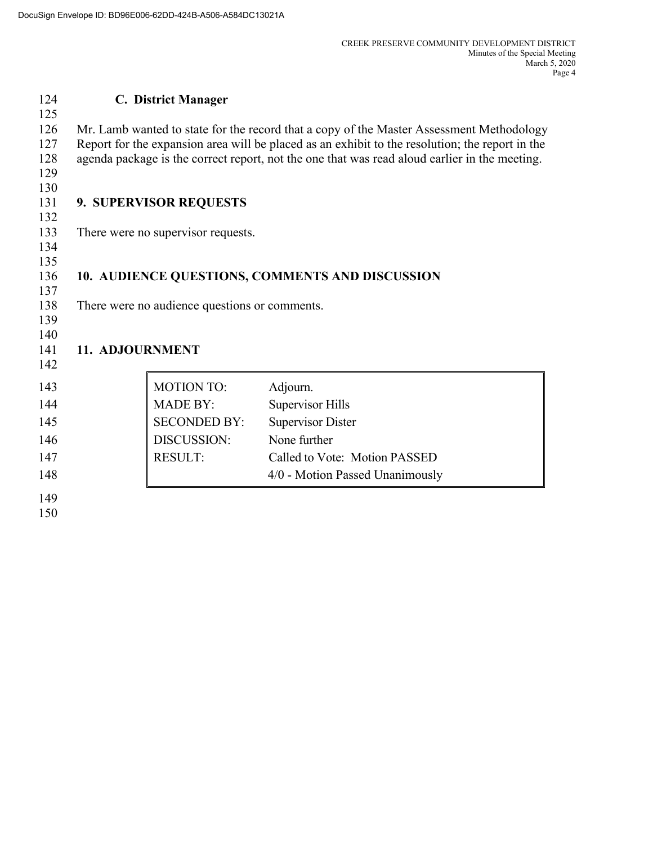## **C. District Manager**  Mr. Lamb wanted to state for the record that a copy of the Master Assessment Methodology Report for the expansion area will be placed as an exhibit to the resolution; the report in the agenda package is the correct report, not the one that was read aloud earlier in the meeting. **9. SUPERVISOR REQUESTS** There were no supervisor requests. **10. AUDIENCE QUESTIONS, COMMENTS AND DISCUSSION** There were no audience questions or comments.  **11. ADJOURNMENT** 143 MOTION TO: Adjourn. 144 MADE BY: Supervisor Hills 145 SECONDED BY: Supervisor Dister DISCUSSION: None further 147 RESULT: Called to Vote: Motion PASSED 148 and 148 and 148 and 148 and 148 and 148 and 148 and 148 and 148 and 148 and 148 and 148 and 148 and 148 and 148 and 148 and 148 and 148 and 148 and 148 and 148 and 148 and 148 and 148 and 148 and 148 and 148 and 148 an